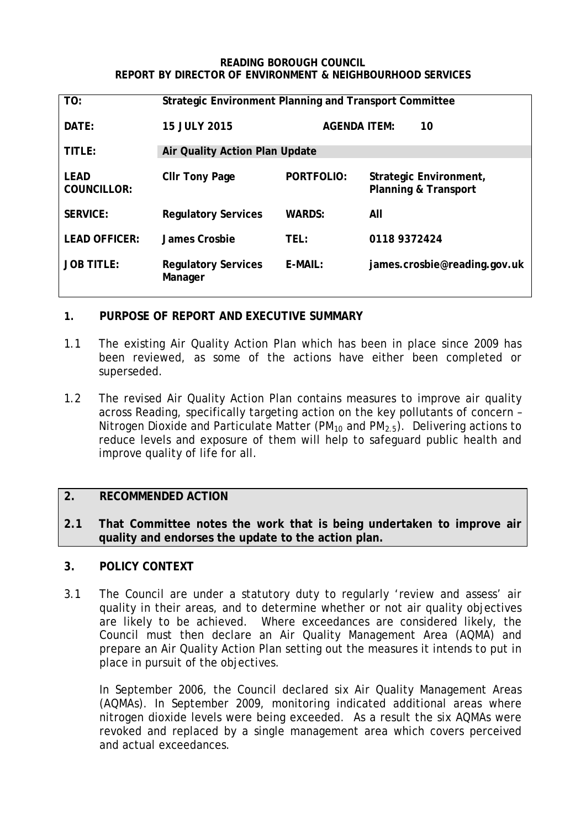#### **READING BOROUGH COUNCIL REPORT BY DIRECTOR OF ENVIRONMENT & NEIGHBOURHOOD SERVICES**

| TO:                               | <b>Strategic Environment Planning and Transport Committee</b> |                           |                                                           |
|-----------------------------------|---------------------------------------------------------------|---------------------------|-----------------------------------------------------------|
| DATE:                             | <b>15 JULY 2015</b>                                           | <b>AGENDA ITEM:</b><br>10 |                                                           |
| TITLE:                            | Air Quality Action Plan Update                                |                           |                                                           |
| <b>LEAD</b><br><b>COUNCILLOR:</b> | <b>CIIr Tony Page</b>                                         | <b>PORTFOLIO:</b>         | Strategic Environment,<br><b>Planning &amp; Transport</b> |
| <b>SERVICE:</b>                   | <b>Regulatory Services</b>                                    | <b>WARDS:</b>             | All                                                       |
| <b>LEAD OFFICER:</b>              | James Crosbie                                                 | TEL:                      | 0118 9372424                                              |
| <b>JOB TITLE:</b>                 | <b>Regulatory Services</b><br>Manager                         | E-MAIL:                   | james.crosbie@reading.gov.uk                              |

# **1. PURPOSE OF REPORT AND EXECUTIVE SUMMARY**

- 1.1 The existing Air Quality Action Plan which has been in place since 2009 has been reviewed, as some of the actions have either been completed or superseded.
- 1.2 The revised Air Quality Action Plan contains measures to improve air quality across Reading, specifically targeting action on the key pollutants of concern – Nitrogen Dioxide and Particulate Matter (PM<sub>10</sub> and PM<sub>2.5</sub>). Delivering actions to reduce levels and exposure of them will help to safeguard public health and improve quality of life for all.

# **2. RECOMMENDED ACTION**

**2.1 That Committee notes the work that is being undertaken to improve air quality and endorses the update to the action plan.**

## **3. POLICY CONTEXT**

3.1 The Council are under a statutory duty to regularly 'review and assess' air quality in their areas, and to determine whether or not air quality objectives are likely to be achieved. Where exceedances are considered likely, the Council must then declare an Air Quality Management Area (AQMA) and prepare an Air Quality Action Plan setting out the measures it intends to put in place in pursuit of the objectives.

In September 2006, the Council declared six Air Quality Management Areas (AQMAs). In September 2009, monitoring indicated additional areas where nitrogen dioxide levels were being exceeded. As a result the six AQMAs were revoked and replaced by a single management area which covers perceived and actual exceedances.